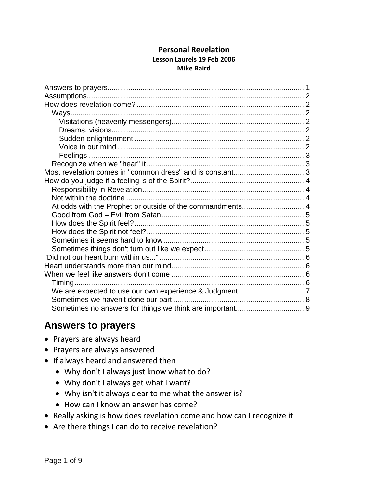#### **Personal Revelation Lesson Laurels 19 Feb 2006 Mike Baird**

# <span id="page-0-0"></span>**Answers to prayers**

- Prayers are always heard
- Prayers are always answered
- If always heard and answered then
	- Why don't I always just know what to do?
	- Why don't I always get what I want?
	- Why isn't it always clear to me what the answer is?
	- How can I know an answer has come?
- Really asking is how does revelation come and how can I recognize it
- Are there things I can do to receive revelation?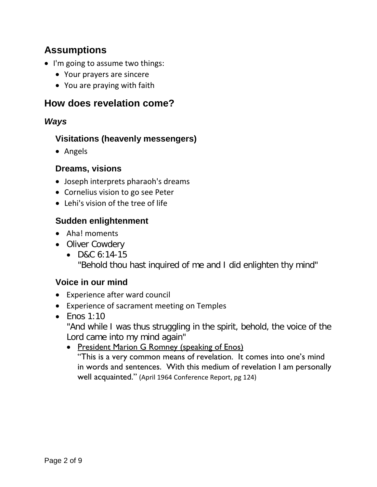# <span id="page-1-0"></span>**Assumptions**

- I'm going to assume two things:
	- Your prayers are sincere
	- You are praying with faith

## <span id="page-1-1"></span>**How does revelation come?**

## <span id="page-1-3"></span><span id="page-1-2"></span>*Ways*

### **Visitations (heavenly messengers)**

• Angels

#### <span id="page-1-4"></span>**Dreams, visions**

- Joseph interprets pharaoh's dreams
- Cornelius vision to go see Peter
- Lehi's vision of the tree of life

## <span id="page-1-5"></span>**Sudden enlightenment**

- Aha! moments
- Oliver Cowdery
	- D&C 6:14-15 "Behold thou hast inquired of me and I did enlighten thy mind"

## <span id="page-1-6"></span>**Voice in our mind**

- Experience after ward council
- Experience of sacrament meeting on Temples
- Enos 1:10

"And while I was thus struggling in the spirit, behold, the voice of the Lord came into my mind again"

• President Marion G Romney (speaking of Enos)

"This is a very common means of revelation. It comes into one's mind in words and sentences. With this medium of revelation I am personally well acquainted." (April 1964 Conference Report, pg 124)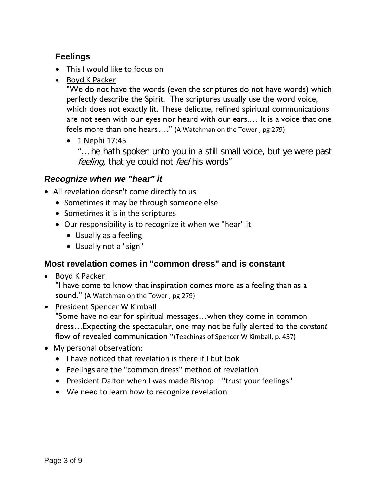## <span id="page-2-0"></span>**Feelings**

- This I would like to focus on
- Boyd K Packer

"We do not have the words (even the scriptures do not have words) which perfectly describe the Spirit. The scriptures usually use the word voice, which does not exactly fit. These delicate, refined spiritual communications are not seen with our eyes nor heard with our ears.… It is a voice that one feels more than one hears…." (A Watchman on the Tower , pg 279)

• 1 Nephi 17:45

"… he hath spoken unto you in a still small voice, but ye were past feeling, that ye could not feel his words"

### <span id="page-2-1"></span>*Recognize when we "hear" it*

- All revelation doesn't come directly to us
	- Sometimes it may be through someone else
	- Sometimes it is in the scriptures
	- Our responsibility is to recognize it when we "hear" it
		- Usually as a feeling
		- Usually not a "sign"

#### <span id="page-2-2"></span>**Most revelation comes in "common dress" and is constant**

• Boyd K Packer

"I have come to know that inspiration comes more as a feeling than as a sound." (A Watchman on the Tower , pg 279)

- President Spencer W Kimball "Some have no ear for spiritual messages…when they come in common dress…Expecting the spectacular, one may not be fully alerted to the *constant* flow of revealed communication **"**(Teachings of Spencer W Kimball, p. 457)
- My personal observation:
	- I have noticed that revelation is there if I but look
	- Feelings are the "common dress" method of revelation
	- President Dalton when I was made Bishop "trust your feelings"
	- We need to learn how to recognize revelation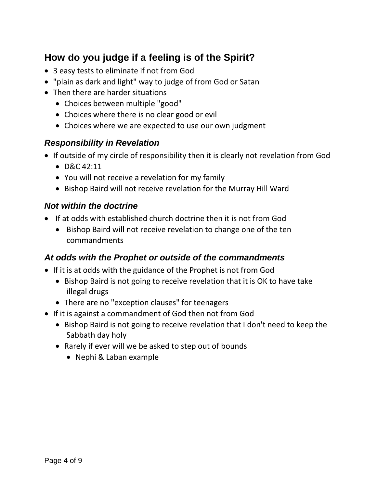# <span id="page-3-0"></span>**How do you judge if a feeling is of the Spirit?**

- 3 easy tests to eliminate if not from God
- "plain as dark and light" way to judge of from God or Satan
- Then there are harder situations
	- Choices between multiple "good"
	- Choices where there is no clear good or evil
	- Choices where we are expected to use our own judgment

#### <span id="page-3-1"></span>*Responsibility in Revelation*

- If outside of my circle of responsibility then it is clearly not revelation from God
	- D&C 42:11
	- You will not receive a revelation for my family
	- Bishop Baird will not receive revelation for the Murray Hill Ward

#### <span id="page-3-2"></span>*Not within the doctrine*

- If at odds with established church doctrine then it is not from God
	- Bishop Baird will not receive revelation to change one of the ten commandments

## <span id="page-3-3"></span>*At odds with the Prophet or outside of the commandments*

- If it is at odds with the guidance of the Prophet is not from God
	- Bishop Baird is not going to receive revelation that it is OK to have take illegal drugs
	- There are no "exception clauses" for teenagers
- If it is against a commandment of God then not from God
	- Bishop Baird is not going to receive revelation that I don't need to keep the Sabbath day holy
	- Rarely if ever will we be asked to step out of bounds
		- Nephi & Laban example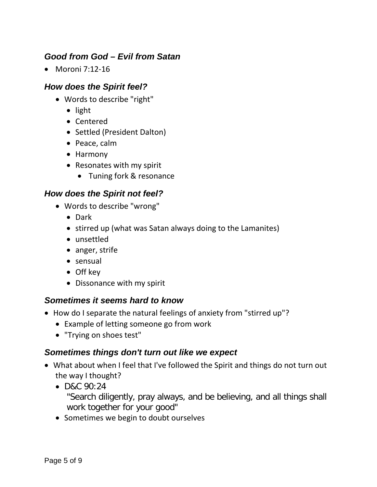### <span id="page-4-0"></span>*Good from God – Evil from Satan*

• Moroni 7:12-16

#### <span id="page-4-1"></span>*How does the Spirit feel?*

- Words to describe "right"
	- light
	- Centered
	- Settled (President Dalton)
	- Peace, calm
	- Harmony
	- Resonates with my spirit
		- Tuning fork & resonance

### <span id="page-4-2"></span>*How does the Spirit not feel?*

- Words to describe "wrong"
	- Dark
	- stirred up (what was Satan always doing to the Lamanites)
	- unsettled
	- anger, strife
	- sensual
	- Off key
	- Dissonance with my spirit

#### <span id="page-4-3"></span>*Sometimes it seems hard to know*

- How do I separate the natural feelings of anxiety from "stirred up"?
	- Example of letting someone go from work
	- "Trying on shoes test"

#### <span id="page-4-4"></span>*Sometimes things don't turn out like we expect*

- What about when I feel that I've followed the Spirit and things do not turn out the way I thought?
	- D&C 90:24

"Search diligently, pray always, and be believing, and all things shall work together for your good"

• Sometimes we begin to doubt ourselves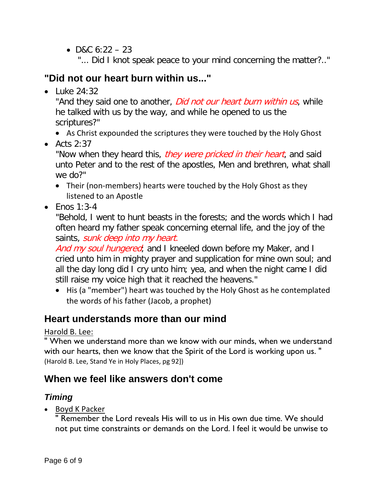- D&C  $6:22 23$ 
	- "... Did I knot speak peace to your mind concerning the matter?.."

# <span id="page-5-0"></span>**"Did not our heart burn within us..."**

 $\bullet$  Luke 24:32

"And they said one to another, *Did not our heart burn within us*, while he talked with us by the way, and while he opened to us the scriptures?"

- As Christ expounded the scriptures they were touched by the Holy Ghost
- Acts  $2:37$

"Now when they heard this, *they were pricked in their heart*, and said unto Peter and to the rest of the apostles, Men and brethren, what shall we do?"

- Their (non-members) hearts were touched by the Holy Ghost as they listened to an Apostle
- $\bullet$  Enos 1:3-4

"Behold, I went to hunt beasts in the forests; and the words which I had often heard my father speak concerning eternal life, and the joy of the saints, *sunk deep into my heart*.

And my soul hungered; and I kneeled down before my Maker, and I cried unto him in mighty prayer and supplication for mine own soul; and all the day long did I cry unto him; yea, and when the night came I did still raise my voice high that it reached the heavens."

• His (a "member") heart was touched by the Holy Ghost as he contemplated the words of his father (Jacob, a prophet)

# <span id="page-5-1"></span>**Heart understands more than our mind**

Harold B. Lee:

" When we understand more than we know with our minds, when we understand with our hearts, then we know that the Spirit of the Lord is working upon us. " (Harold B. Lee, Stand Ye in Holy Places, pg 92])

## <span id="page-5-2"></span>**When we feel like answers don't come**

## <span id="page-5-3"></span>*Timing*

• Boyd K Packer

" Remember the Lord reveals His will to us in His own due time. We should not put time constraints or demands on the Lord. I feel it would be unwise to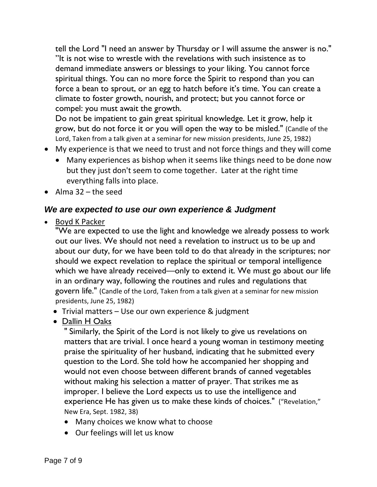tell the Lord "I need an answer by Thursday or I will assume the answer is no." "It is not wise to wrestle with the revelations with such insistence as to demand immediate answers or blessings to your liking. You cannot force spiritual things. You can no more force the Spirit to respond than you can force a bean to sprout, or an egg to hatch before it's time. You can create a climate to foster growth, nourish, and protect; but you cannot force or compel: you must await the growth.

Do not be impatient to gain great spiritual knowledge. Let it grow, help it grow, but do not force it or you will open the way to be misled." (Candle of the Lord, Taken from a talk given at a seminar for new mission presidents, June 25, 1982)

- My experience is that we need to trust and not force things and they will come
	- Many experiences as bishop when it seems like things need to be done now but they just don't seem to come together. Later at the right time everything falls into place.
- Alma 32 the seed

### <span id="page-6-0"></span>*We are expected to use our own experience & Judgment*

• Boyd K Packer

"We are expected to use the light and knowledge we already possess to work out our lives. We should not need a revelation to instruct us to be up and about our duty, for we have been told to do that already in the scriptures; nor should we expect revelation to replace the spiritual or temporal intelligence which we have already received—only to extend it. We must go about our life in an ordinary way, following the routines and rules and regulations that govern life." (Candle of the Lord, Taken from a talk given at a seminar for new mission presidents, June 25, 1982)

- Trivial matters Use our own experience & judgment
- Dallin H Oaks

" Similarly, the Spirit of the Lord is not likely to give us revelations on matters that are trivial. I once heard a young woman in testimony meeting praise the spirituality of her husband, indicating that he submitted every question to the Lord. She told how he accompanied her shopping and would not even choose between different brands of canned vegetables without making his selection a matter of prayer. That strikes me as improper. I believe the Lord expects us to use the intelligence and experience He has given us to make these kinds of choices." ("Revelation," New Era, Sept. 1982, 38)

- Many choices we know what to choose
- Our feelings will let us know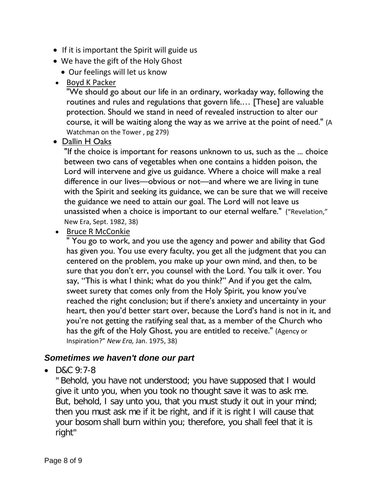- If it is important the Spirit will guide us
- We have the gift of the Holy Ghost
	- Our feelings will let us know
- Boyd K Packer

"We should go about our life in an ordinary, workaday way, following the routines and rules and regulations that govern life.… [These] are valuable protection. Should we stand in need of revealed instruction to alter our course, it will be waiting along the way as we arrive at the point of need." (A Watchman on the Tower , pg 279)

• Dallin HOaks

"If the choice is important for reasons unknown to us, such as the ... choice between two cans of vegetables when one contains a hidden poison, the Lord will intervene and give us guidance. Where a choice will make a real difference in our lives—obvious or not—and where we are living in tune with the Spirit and seeking its guidance, we can be sure that we will receive the guidance we need to attain our goal. The Lord will not leave us unassisted when a choice is important to our eternal welfare." ("Revelation," New Era, Sept. 1982, 38)

• Bruce R McConkie

" You go to work, and you use the agency and power and ability that God has given you. You use every faculty, you get all the judgment that you can centered on the problem, you make up your own mind, and then, to be sure that you don't err, you counsel with the Lord. You talk it over. You say, "This is what I think; what do you think?" And if you get the calm, sweet surety that comes only from the Holy Spirit, you know you've reached the right conclusion; but if there's anxiety and uncertainty in your heart, then you'd better start over, because the Lord's hand is not in it, and you're not getting the ratifying seal that, as a member of the Church who has the gift of the Holy Ghost, you are entitled to receive." (Agency or Inspiration?" *New Era,* Jan. 1975, 38)

## <span id="page-7-0"></span>*Sometimes we haven't done our part*

•  $D&C$  9:7-8

" Behold, you have not understood; you have supposed that I would give it unto you, when you took no thought save it was to ask me. But, behold, I say unto you, that you must study it out in your mind; then you must ask me if it be right, and if it is right I will cause that your bosom shall burn within you; therefore, you shall feel that it is right"